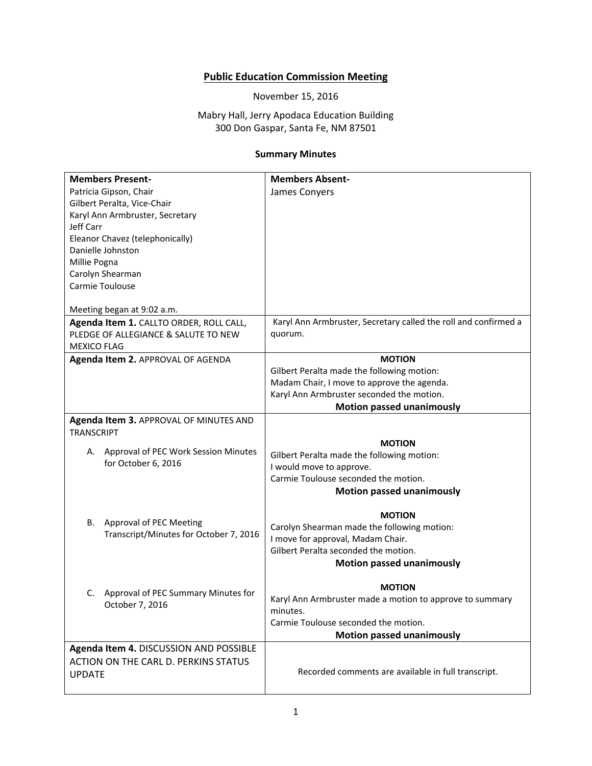## **Public Education Commission Meeting**

November 15, 2016

Mabry Hall, Jerry Apodaca Education Building 300 Don Gaspar, Santa Fe, NM 87501

## **Summary Minutes**

| <b>Members Present-</b>                     | <b>Members Absent-</b>                                          |
|---------------------------------------------|-----------------------------------------------------------------|
| Patricia Gipson, Chair                      | James Conyers                                                   |
| Gilbert Peralta, Vice-Chair                 |                                                                 |
| Karyl Ann Armbruster, Secretary             |                                                                 |
| Jeff Carr                                   |                                                                 |
| Eleanor Chavez (telephonically)             |                                                                 |
| Danielle Johnston                           |                                                                 |
| Millie Pogna                                |                                                                 |
| Carolyn Shearman                            |                                                                 |
| Carmie Toulouse                             |                                                                 |
|                                             |                                                                 |
| Meeting began at 9:02 a.m.                  |                                                                 |
| Agenda Item 1. CALLTO ORDER, ROLL CALL,     | Karyl Ann Armbruster, Secretary called the roll and confirmed a |
| PLEDGE OF ALLEGIANCE & SALUTE TO NEW        | quorum.                                                         |
| <b>MEXICO FLAG</b>                          |                                                                 |
| Agenda Item 2. APPROVAL OF AGENDA           | <b>MOTION</b>                                                   |
|                                             | Gilbert Peralta made the following motion:                      |
|                                             | Madam Chair, I move to approve the agenda.                      |
|                                             | Karyl Ann Armbruster seconded the motion.                       |
|                                             | <b>Motion passed unanimously</b>                                |
| Agenda Item 3. APPROVAL OF MINUTES AND      |                                                                 |
| <b>TRANSCRIPT</b>                           |                                                                 |
|                                             | <b>MOTION</b>                                                   |
| Approval of PEC Work Session Minutes<br>А.  | Gilbert Peralta made the following motion:                      |
| for October 6, 2016                         | I would move to approve.                                        |
|                                             | Carmie Toulouse seconded the motion.                            |
|                                             | <b>Motion passed unanimously</b>                                |
|                                             |                                                                 |
|                                             | <b>MOTION</b>                                                   |
| Approval of PEC Meeting<br>В.               | Carolyn Shearman made the following motion:                     |
| Transcript/Minutes for October 7, 2016      | I move for approval, Madam Chair.                               |
|                                             | Gilbert Peralta seconded the motion.                            |
|                                             | <b>Motion passed unanimously</b>                                |
|                                             |                                                                 |
| Approval of PEC Summary Minutes for<br>C.   | <b>MOTION</b>                                                   |
|                                             | Karyl Ann Armbruster made a motion to approve to summary        |
| October 7, 2016                             | minutes.                                                        |
|                                             | Carmie Toulouse seconded the motion.                            |
|                                             | <b>Motion passed unanimously</b>                                |
| Agenda Item 4. DISCUSSION AND POSSIBLE      |                                                                 |
| <b>ACTION ON THE CARL D. PERKINS STATUS</b> |                                                                 |
| <b>UPDATE</b>                               | Recorded comments are available in full transcript.             |
|                                             |                                                                 |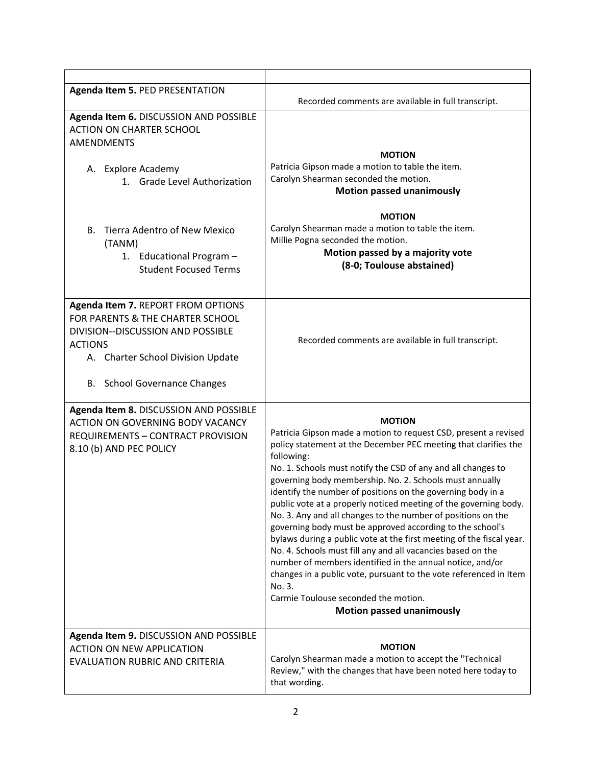| <b>Agenda Item 5. PED PRESENTATION</b>                                                                                                                                                             | Recorded comments are available in full transcript.                                                                                                                                                                                                                                                                                                                                                                                                                                                                                                                                                                                                                                                                                                                                                                                                                                                                         |
|----------------------------------------------------------------------------------------------------------------------------------------------------------------------------------------------------|-----------------------------------------------------------------------------------------------------------------------------------------------------------------------------------------------------------------------------------------------------------------------------------------------------------------------------------------------------------------------------------------------------------------------------------------------------------------------------------------------------------------------------------------------------------------------------------------------------------------------------------------------------------------------------------------------------------------------------------------------------------------------------------------------------------------------------------------------------------------------------------------------------------------------------|
| Agenda Item 6. DISCUSSION AND POSSIBLE<br><b>ACTION ON CHARTER SCHOOL</b><br><b>AMENDMENTS</b><br>A. Explore Academy<br>1. Grade Level Authorization                                               | <b>MOTION</b><br>Patricia Gipson made a motion to table the item.<br>Carolyn Shearman seconded the motion.<br><b>Motion passed unanimously</b><br><b>MOTION</b>                                                                                                                                                                                                                                                                                                                                                                                                                                                                                                                                                                                                                                                                                                                                                             |
| <b>Tierra Adentro of New Mexico</b><br>В.<br>(TANM)<br>1. Educational Program -<br><b>Student Focused Terms</b>                                                                                    | Carolyn Shearman made a motion to table the item.<br>Millie Pogna seconded the motion.<br>Motion passed by a majority vote<br>(8-0; Toulouse abstained)                                                                                                                                                                                                                                                                                                                                                                                                                                                                                                                                                                                                                                                                                                                                                                     |
| Agenda Item 7. REPORT FROM OPTIONS<br>FOR PARENTS & THE CHARTER SCHOOL<br>DIVISION--DISCUSSION AND POSSIBLE<br><b>ACTIONS</b><br>A. Charter School Division Update<br>B. School Governance Changes | Recorded comments are available in full transcript.                                                                                                                                                                                                                                                                                                                                                                                                                                                                                                                                                                                                                                                                                                                                                                                                                                                                         |
| Agenda Item 8. DISCUSSION AND POSSIBLE<br>ACTION ON GOVERNING BODY VACANCY<br><b>REQUIREMENTS - CONTRACT PROVISION</b><br>8.10 (b) AND PEC POLICY                                                  | <b>MOTION</b><br>Patricia Gipson made a motion to request CSD, present a revised<br>policy statement at the December PEC meeting that clarifies the<br>following:<br>No. 1. Schools must notify the CSD of any and all changes to<br>governing body membership. No. 2. Schools must annually<br>identify the number of positions on the governing body in a<br>public vote at a properly noticed meeting of the governing body.<br>No. 3. Any and all changes to the number of positions on the<br>governing body must be approved according to the school's<br>bylaws during a public vote at the first meeting of the fiscal year.<br>No. 4. Schools must fill any and all vacancies based on the<br>number of members identified in the annual notice, and/or<br>changes in a public vote, pursuant to the vote referenced in Item<br>No. 3.<br>Carmie Toulouse seconded the motion.<br><b>Motion passed unanimously</b> |
| Agenda Item 9. DISCUSSION AND POSSIBLE<br><b>ACTION ON NEW APPLICATION</b><br><b>EVALUATION RUBRIC AND CRITERIA</b>                                                                                | <b>MOTION</b><br>Carolyn Shearman made a motion to accept the "Technical<br>Review," with the changes that have been noted here today to<br>that wording.                                                                                                                                                                                                                                                                                                                                                                                                                                                                                                                                                                                                                                                                                                                                                                   |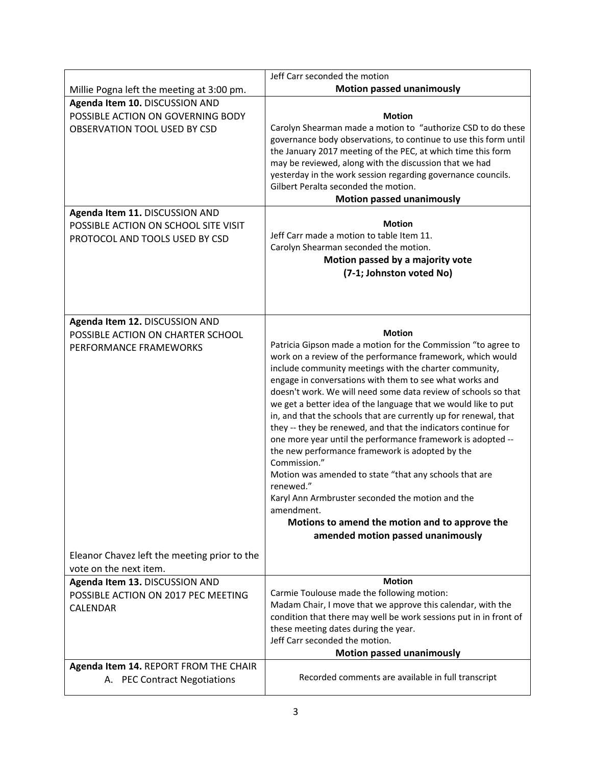|                                                                                                                                                                                                                 | Jeff Carr seconded the motion                                                                                                                                                                                                                                                                                                                                                                                                                                                                                                                                                                                                                                                                                                                                                                                                                                                                                |
|-----------------------------------------------------------------------------------------------------------------------------------------------------------------------------------------------------------------|--------------------------------------------------------------------------------------------------------------------------------------------------------------------------------------------------------------------------------------------------------------------------------------------------------------------------------------------------------------------------------------------------------------------------------------------------------------------------------------------------------------------------------------------------------------------------------------------------------------------------------------------------------------------------------------------------------------------------------------------------------------------------------------------------------------------------------------------------------------------------------------------------------------|
| Millie Pogna left the meeting at 3:00 pm.                                                                                                                                                                       | <b>Motion passed unanimously</b>                                                                                                                                                                                                                                                                                                                                                                                                                                                                                                                                                                                                                                                                                                                                                                                                                                                                             |
| Agenda Item 10. DISCUSSION AND<br>POSSIBLE ACTION ON GOVERNING BODY<br>OBSERVATION TOOL USED BY CSD<br>Agenda Item 11. DISCUSSION AND<br>POSSIBLE ACTION ON SCHOOL SITE VISIT<br>PROTOCOL AND TOOLS USED BY CSD | <b>Motion</b><br>Carolyn Shearman made a motion to "authorize CSD to do these<br>governance body observations, to continue to use this form until<br>the January 2017 meeting of the PEC, at which time this form<br>may be reviewed, along with the discussion that we had<br>yesterday in the work session regarding governance councils.<br>Gilbert Peralta seconded the motion.<br><b>Motion passed unanimously</b><br><b>Motion</b><br>Jeff Carr made a motion to table Item 11.<br>Carolyn Shearman seconded the motion.<br>Motion passed by a majority vote<br>(7-1; Johnston voted No)                                                                                                                                                                                                                                                                                                               |
| Agenda Item 12. DISCUSSION AND<br>POSSIBLE ACTION ON CHARTER SCHOOL<br>PERFORMANCE FRAMEWORKS                                                                                                                   | <b>Motion</b><br>Patricia Gipson made a motion for the Commission "to agree to<br>work on a review of the performance framework, which would<br>include community meetings with the charter community,<br>engage in conversations with them to see what works and<br>doesn't work. We will need some data review of schools so that<br>we get a better idea of the language that we would like to put<br>in, and that the schools that are currently up for renewal, that<br>they -- they be renewed, and that the indicators continue for<br>one more year until the performance framework is adopted --<br>the new performance framework is adopted by the<br>Commission."<br>Motion was amended to state "that any schools that are<br>renewed."<br>Karyl Ann Armbruster seconded the motion and the<br>amendment.<br>Motions to amend the motion and to approve the<br>amended motion passed unanimously |
| Eleanor Chavez left the meeting prior to the<br>vote on the next item.                                                                                                                                          |                                                                                                                                                                                                                                                                                                                                                                                                                                                                                                                                                                                                                                                                                                                                                                                                                                                                                                              |
| Agenda Item 13. DISCUSSION AND<br>POSSIBLE ACTION ON 2017 PEC MEETING<br><b>CALENDAR</b><br>Agenda Item 14. REPORT FROM THE CHAIR                                                                               | <b>Motion</b><br>Carmie Toulouse made the following motion:<br>Madam Chair, I move that we approve this calendar, with the<br>condition that there may well be work sessions put in in front of<br>these meeting dates during the year.<br>Jeff Carr seconded the motion.<br><b>Motion passed unanimously</b>                                                                                                                                                                                                                                                                                                                                                                                                                                                                                                                                                                                                |
| A. PEC Contract Negotiations                                                                                                                                                                                    | Recorded comments are available in full transcript                                                                                                                                                                                                                                                                                                                                                                                                                                                                                                                                                                                                                                                                                                                                                                                                                                                           |